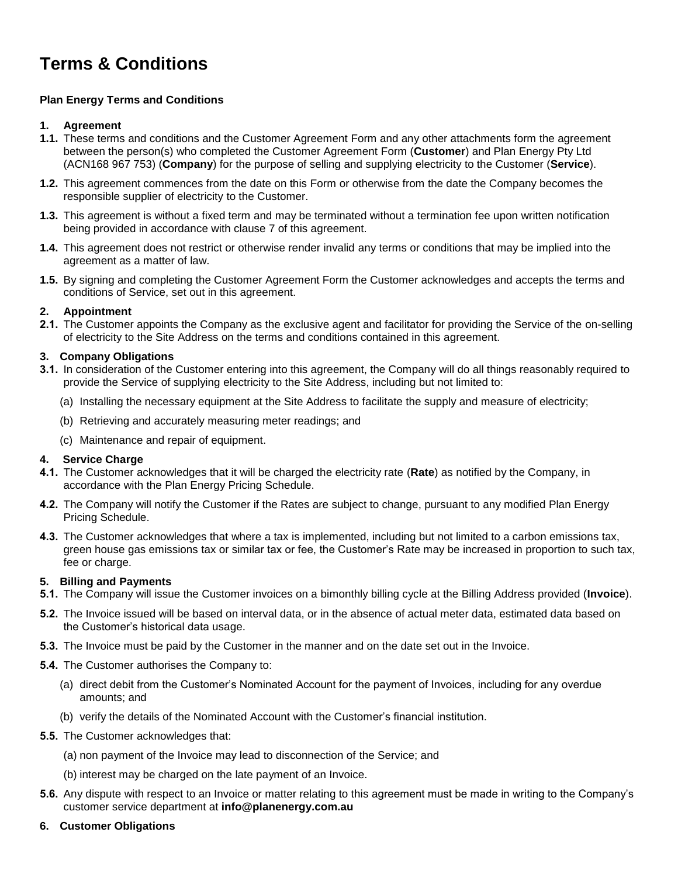# **Terms & Conditions**

# **Plan Energy Terms and Conditions**

## **1. Agreement**

- **1.1.** These terms and conditions and the Customer Agreement Form and any other attachments form the agreement between the person(s) who completed the Customer Agreement Form (**Customer**) and Plan Energy Pty Ltd (ACN168 967 753) (**Company**) for the purpose of selling and supplying electricity to the Customer (**Service**).
- **1.2.** This agreement commences from the date on this Form or otherwise from the date the Company becomes the responsible supplier of electricity to the Customer.
- **1.3.** This agreement is without a fixed term and may be terminated without a termination fee upon written notification being provided in accordance with clause 7 of this agreement.
- **1.4.** This agreement does not restrict or otherwise render invalid any terms or conditions that may be implied into the agreement as a matter of law.
- **1.5.** By signing and completing the Customer Agreement Form the Customer acknowledges and accepts the terms and conditions of Service, set out in this agreement.

# **2. Appointment**

**2.1.** The Customer appoints the Company as the exclusive agent and facilitator for providing the Service of the on-selling of electricity to the Site Address on the terms and conditions contained in this agreement.

## **3. Company Obligations**

- **3.1.** In consideration of the Customer entering into this agreement, the Company will do all things reasonably required to provide the Service of supplying electricity to the Site Address, including but not limited to:
	- (a) Installing the necessary equipment at the Site Address to facilitate the supply and measure of electricity;
	- (b) Retrieving and accurately measuring meter readings; and
	- (c) Maintenance and repair of equipment.

## **4. Service Charge**

- **4.1.** The Customer acknowledges that it will be charged the electricity rate (**Rate**) as notified by the Company, in accordance with the Plan Energy Pricing Schedule.
- **4.2.** The Company will notify the Customer if the Rates are subject to change, pursuant to any modified Plan Energy Pricing Schedule.
- **4.3.** The Customer acknowledges that where a tax is implemented, including but not limited to a carbon emissions tax, green house gas emissions tax or similar tax or fee, the Customer's Rate may be increased in proportion to such tax, fee or charge.

## **5. Billing and Payments**

- **5.1.** The Company will issue the Customer invoices on a bimonthly billing cycle at the Billing Address provided (**Invoice**).
- **5.2.** The Invoice issued will be based on interval data, or in the absence of actual meter data, estimated data based on the Customer's historical data usage.
- **5.3.** The Invoice must be paid by the Customer in the manner and on the date set out in the Invoice.

## **5.4.** The Customer authorises the Company to:

- (a) direct debit from the Customer's Nominated Account for the payment of Invoices, including for any overdue amounts; and
- (b) verify the details of the Nominated Account with the Customer's financial institution.
- **5.5.** The Customer acknowledges that:
	- (a) non payment of the Invoice may lead to disconnection of the Service; and
	- (b) interest may be charged on the late payment of an Invoice.
- **5.6.** Any dispute with respect to an Invoice or matter relating to this agreement must be made in writing to the Company's customer service department at **info@planenergy.com.au**
- **6. Customer Obligations**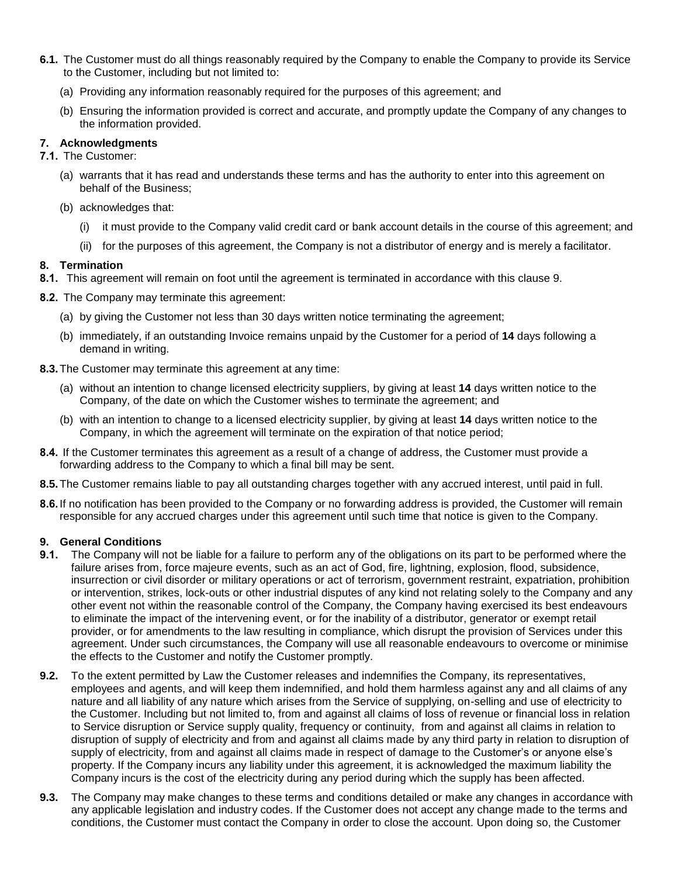- **6.1.** The Customer must do all things reasonably required by the Company to enable the Company to provide its Service to the Customer, including but not limited to:
	- (a) Providing any information reasonably required for the purposes of this agreement; and
	- (b) Ensuring the information provided is correct and accurate, and promptly update the Company of any changes to the information provided.

#### **7. Acknowledgments**

**7.1.** The Customer:

- (a) warrants that it has read and understands these terms and has the authority to enter into this agreement on behalf of the Business;
- (b) acknowledges that:
	- (i) it must provide to the Company valid credit card or bank account details in the course of this agreement; and
	- (ii) for the purposes of this agreement, the Company is not a distributor of energy and is merely a facilitator.

## **8. Termination**

- **8.1.** This agreement will remain on foot until the agreement is terminated in accordance with this clause 9.
- **8.2.** The Company may terminate this agreement:
	- (a) by giving the Customer not less than 30 days written notice terminating the agreement;
	- (b) immediately, if an outstanding Invoice remains unpaid by the Customer for a period of **14** days following a demand in writing.
- **8.3.**The Customer may terminate this agreement at any time:
	- (a) without an intention to change licensed electricity suppliers, by giving at least **14** days written notice to the Company, of the date on which the Customer wishes to terminate the agreement; and
	- (b) with an intention to change to a licensed electricity supplier, by giving at least **14** days written notice to the Company, in which the agreement will terminate on the expiration of that notice period;
- **8.4.** If the Customer terminates this agreement as a result of a change of address, the Customer must provide a forwarding address to the Company to which a final bill may be sent.
- **8.5.**The Customer remains liable to pay all outstanding charges together with any accrued interest, until paid in full.
- **8.6.**If no notification has been provided to the Company or no forwarding address is provided, the Customer will remain responsible for any accrued charges under this agreement until such time that notice is given to the Company.

#### **9. General Conditions**

- **9.1.** The Company will not be liable for a failure to perform any of the obligations on its part to be performed where the failure arises from, force majeure events, such as an act of God, fire, lightning, explosion, flood, subsidence, insurrection or civil disorder or military operations or act of terrorism, government restraint, expatriation, prohibition or intervention, strikes, lock-outs or other industrial disputes of any kind not relating solely to the Company and any other event not within the reasonable control of the Company, the Company having exercised its best endeavours to eliminate the impact of the intervening event, or for the inability of a distributor, generator or exempt retail provider, or for amendments to the law resulting in compliance, which disrupt the provision of Services under this agreement. Under such circumstances, the Company will use all reasonable endeavours to overcome or minimise the effects to the Customer and notify the Customer promptly.
- **9.2.** To the extent permitted by Law the Customer releases and indemnifies the Company, its representatives, employees and agents, and will keep them indemnified, and hold them harmless against any and all claims of any nature and all liability of any nature which arises from the Service of supplying, on-selling and use of electricity to the Customer. Including but not limited to, from and against all claims of loss of revenue or financial loss in relation to Service disruption or Service supply quality, frequency or continuity, from and against all claims in relation to disruption of supply of electricity and from and against all claims made by any third party in relation to disruption of supply of electricity, from and against all claims made in respect of damage to the Customer's or anyone else's property. If the Company incurs any liability under this agreement, it is acknowledged the maximum liability the Company incurs is the cost of the electricity during any period during which the supply has been affected.
- **9.3.** The Company may make changes to these terms and conditions detailed or make any changes in accordance with any applicable legislation and industry codes. If the Customer does not accept any change made to the terms and conditions, the Customer must contact the Company in order to close the account. Upon doing so, the Customer